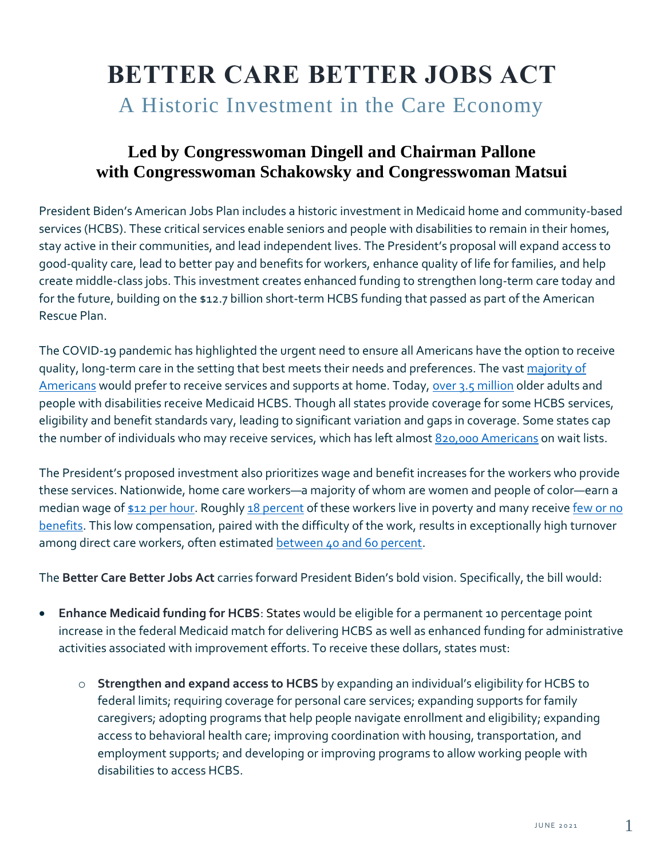# **BETTER CARE BETTER JOBS ACT** A Historic Investment in the Care Economy

### **Led by Congresswoman Dingell and Chairman Pallone with Congresswoman Schakowsky and Congresswoman Matsui**

President Biden's American Jobs Plan includes a historic investment in Medicaid home and community-based services (HCBS). These critical services enable seniors and people with disabilities to remain in their homes, stay active in their communities, and lead independent lives. The President's proposal will expand access to good-quality care, lead to better pay and benefits for workers, enhance quality of life for families, and help create middle-class jobs. This investment creates enhanced funding to strengthen long-term care today and for the future, building on the \$12.7 billion short-term HCBS funding that passed as part of the American Rescue Plan.

The COVID-19 pandemic has highlighted the urgent need to ensure all Americans have the option to receive quality, long-term care in the setting that best meets their needs and preferences. The vast majority of [Americans](https://www.aarp.org/research/topics/community/info-2018/2018-home-community-preference.html#:~:text=While%2076%25%20of%20Americans%20age,within%20their%20community%20(13%25)) would prefer to receive services and supports at home. Today, [over 3.5 million](https://www.macpac.gov/wp-content/uploads/2015/01/EXHIBIT-20.-Distribution-of-Medicaid-Enrollment-and-Benefit-Spending-by-Users-and-Non-Users-of-Long-Term-Services-and-Supports-FY-2018.pdf) older adults and people with disabilities receive Medicaid HCBS. Though all states provide coverage for some HCBS services, eligibility and benefit standards vary, leading to significant variation and gaps in coverage. Some states cap the number of individuals who may receive services, which has left almost [820,000 Americans](https://www.kff.org/health-reform/state-indicator/waiting-lists-for-hcbs-waivers/?currentTimeframe=0&sortModel=%7B%22colId%22:%22Location%22,%22sort%22:%22asc%22%7D) on wait lists.

The President's proposed investment also prioritizes wage and benefit increases for the workers who provide these services. Nationwide, home care workers—a majority of whom are women and people of color—earn a median wage o[f \\$12 per hour.](https://go.epi.org/j8d) Roughly 18 [percent](http://phinational.org/wp-content/uploads/2021/01/Caring-for-the-Future-2021-PHI.pdf) of these workers live in poverty and many receive few or no [benefits.](https://go.epi.org/4fX) This low compensation, paired with the difficulty of the work, results in exceptionally high turnover among direct care workers, often estimate[d between 40 and 60 percent.](file:///C:/Users/km49639/Downloads/Caring-for-the-Future-2021-PHI%20(1).pdf)

The **Better Care Better Jobs Act** carries forward President Biden's bold vision. Specifically, the bill would:

- **Enhance Medicaid funding for HCBS**: States would be eligible for a permanent 10 percentage point increase in the federal Medicaid match for delivering HCBS as well as enhanced funding for administrative activities associated with improvement efforts. To receive these dollars, states must:
	- o **Strengthen and expand access to HCBS** by expanding an individual's eligibility for HCBS to federal limits; requiring coverage for personal care services; expanding supports for family caregivers; adopting programs that help people navigate enrollment and eligibility; expanding access to behavioral health care; improving coordination with housing, transportation, and employment supports; and developing or improving programs to allow working people with disabilities to access HCBS.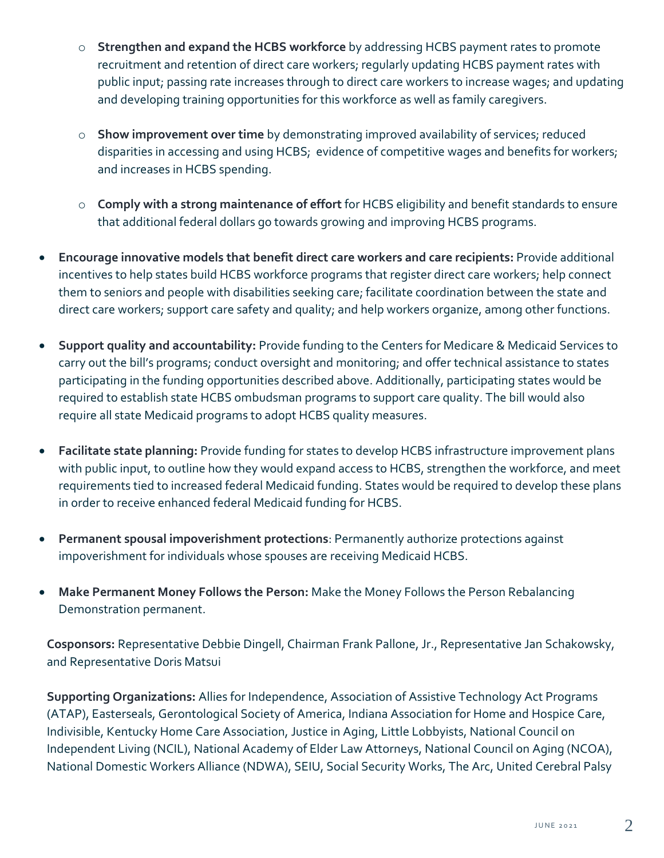- o **Strengthen and expand the HCBS workforce** by addressing HCBS payment rates to promote recruitment and retention of direct care workers; regularly updating HCBS payment rates with public input; passing rate increases through to direct care workers to increase wages; and updating and developing training opportunities for this workforce as well as family caregivers.
- o **Show improvement over time** by demonstrating improved availability of services; reduced disparities in accessing and using HCBS; evidence of competitive wages and benefits for workers; and increases in HCBS spending.
- o **Comply with a strong maintenance of effort** for HCBS eligibility and benefit standards to ensure that additional federal dollars go towards growing and improving HCBS programs.
- **Encourage innovative models that benefit direct care workers and care recipients:** Provide additional incentives to help states build HCBS workforce programs that register direct care workers; help connect them to seniors and people with disabilities seeking care; facilitate coordination between the state and direct care workers; support care safety and quality; and help workers organize, among other functions.
- **Support quality and accountability:** Provide funding to the Centers for Medicare & Medicaid Services to carry out the bill's programs; conduct oversight and monitoring; and offer technical assistance to states participating in the funding opportunities described above. Additionally, participating states would be required to establish state HCBS ombudsman programs to support care quality. The bill would also require all state Medicaid programs to adopt HCBS quality measures.
- **Facilitate state planning:** Provide funding for states to develop HCBS infrastructure improvement plans with public input, to outline how they would expand access to HCBS, strengthen the workforce, and meet requirements tied to increased federal Medicaid funding. States would be required to develop these plans in order to receive enhanced federal Medicaid funding for HCBS.
- **Permanent spousal impoverishment protections**: Permanently authorize protections against impoverishment for individuals whose spouses are receiving Medicaid HCBS.
- **Make Permanent Money Follows the Person:** Make the Money Follows the Person Rebalancing Demonstration permanent.

**Cosponsors:** Representative Debbie Dingell, Chairman Frank Pallone, Jr., Representative Jan Schakowsky, and Representative Doris Matsui

**Supporting Organizations:** Allies for Independence, Association of Assistive Technology Act Programs (ATAP), Easterseals, Gerontological Society of America, Indiana Association for Home and Hospice Care, Indivisible, Kentucky Home Care Association, Justice in Aging, Little Lobbyists, National Council on Independent Living (NCIL), National Academy of Elder Law Attorneys, National Council on Aging (NCOA), National Domestic Workers Alliance (NDWA), SEIU, Social Security Works, The Arc, United Cerebral Palsy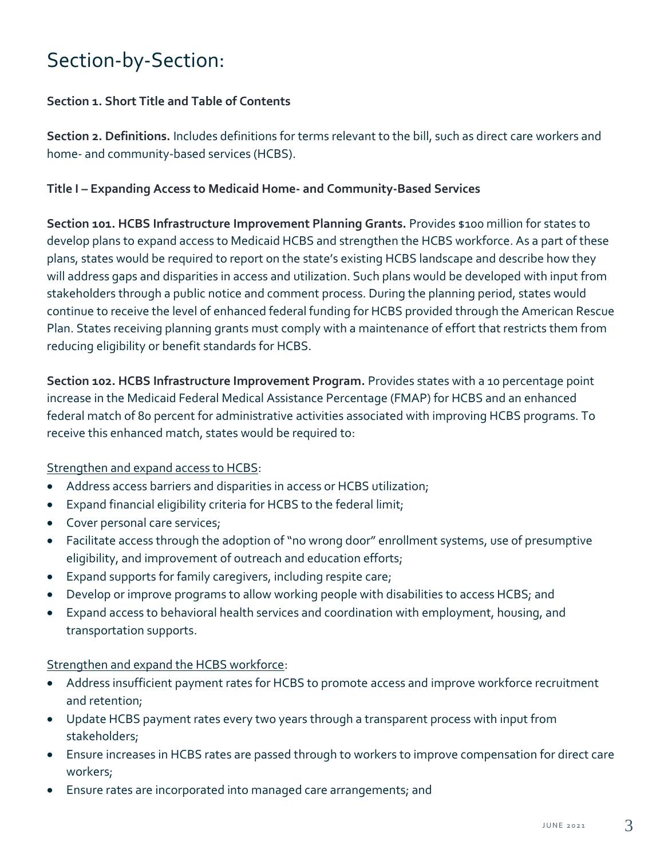## Section-by-Section:

#### **Section 1. Short Title and Table of Contents**

**Section 2. Definitions.** Includes definitions for terms relevant to the bill, such as direct care workers and home- and community-based services (HCBS).

#### **Title I – Expanding Access to Medicaid Home- and Community-Based Services**

**Section 101. HCBS Infrastructure Improvement Planning Grants.** Provides \$100 million for states to develop plans to expand access to Medicaid HCBS and strengthen the HCBS workforce. As a part of these plans, states would be required to report on the state's existing HCBS landscape and describe how they will address gaps and disparities in access and utilization. Such plans would be developed with input from stakeholders through a public notice and comment process. During the planning period, states would continue to receive the level of enhanced federal funding for HCBS provided through the American Rescue Plan. States receiving planning grants must comply with a maintenance of effort that restricts them from reducing eligibility or benefit standards for HCBS.

**Section 102. HCBS Infrastructure Improvement Program.** Provides states with a 10 percentage point increase in the Medicaid Federal Medical Assistance Percentage (FMAP) for HCBS and an enhanced federal match of 80 percent for administrative activities associated with improving HCBS programs. To receive this enhanced match, states would be required to:

#### Strengthen and expand access to HCBS:

- Address access barriers and disparities in access or HCBS utilization;
- Expand financial eligibility criteria for HCBS to the federal limit;
- Cover personal care services;
- Facilitate access through the adoption of "no wrong door" enrollment systems, use of presumptive eligibility, and improvement of outreach and education efforts;
- Expand supports for family caregivers, including respite care;
- Develop or improve programs to allow working people with disabilities to access HCBS; and
- Expand access to behavioral health services and coordination with employment, housing, and transportation supports.

#### Strengthen and expand the HCBS workforce:

- Address insufficient payment rates for HCBS to promote access and improve workforce recruitment and retention;
- Update HCBS payment rates every two years through a transparent process with input from stakeholders;
- Ensure increases in HCBS rates are passed through to workers to improve compensation for direct care workers;
- Ensure rates are incorporated into managed care arrangements; and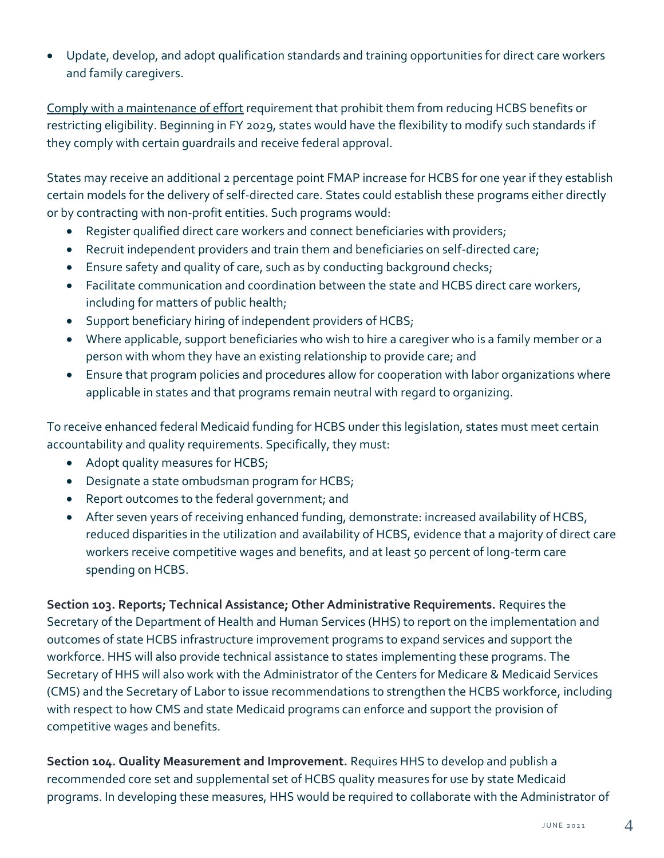• Update, develop, and adopt qualification standards and training opportunities for direct care workers and family caregivers.

Comply with a maintenance of effort requirement that prohibit them from reducing HCBS benefits or restricting eligibility. Beginning in FY 2029, states would have the flexibility to modify such standards if they comply with certain guardrails and receive federal approval.

States may receive an additional 2 percentage point FMAP increase for HCBS for one year if they establish certain models for the delivery of self-directed care. States could establish these programs either directly or by contracting with non-profit entities. Such programs would:

- Register qualified direct care workers and connect beneficiaries with providers;
- Recruit independent providers and train them and beneficiaries on self-directed care;
- Ensure safety and quality of care, such as by conducting background checks;
- Facilitate communication and coordination between the state and HCBS direct care workers, including for matters of public health;
- Support beneficiary hiring of independent providers of HCBS;
- Where applicable, support beneficiaries who wish to hire a caregiver who is a family member or a person with whom they have an existing relationship to provide care; and
- Ensure that program policies and procedures allow for cooperation with labor organizations where applicable in states and that programs remain neutral with regard to organizing.

To receive enhanced federal Medicaid funding for HCBS under this legislation, states must meet certain accountability and quality requirements. Specifically, they must:

- Adopt quality measures for HCBS;
- Designate a state ombudsman program for HCBS;
- Report outcomes to the federal government; and
- After seven years of receiving enhanced funding, demonstrate: increased availability of HCBS, reduced disparities in the utilization and availability of HCBS, evidence that a majority of direct care workers receive competitive wages and benefits, and at least 50 percent of long-term care spending on HCBS.

**Section 103. Reports; Technical Assistance; Other Administrative Requirements.** Requires the Secretary of the Department of Health and Human Services (HHS) to report on the implementation and outcomes of state HCBS infrastructure improvement programs to expand services and support the workforce. HHS will also provide technical assistance to states implementing these programs. The Secretary of HHS will also work with the Administrator of the Centers for Medicare & Medicaid Services (CMS) and the Secretary of Labor to issue recommendations to strengthen the HCBS workforce, including with respect to how CMS and state Medicaid programs can enforce and support the provision of competitive wages and benefits.

**Section 104. Quality Measurement and Improvement.** Requires HHS to develop and publish a recommended core set and supplemental set of HCBS quality measures for use by state Medicaid programs. In developing these measures, HHS would be required to collaborate with the Administrator of